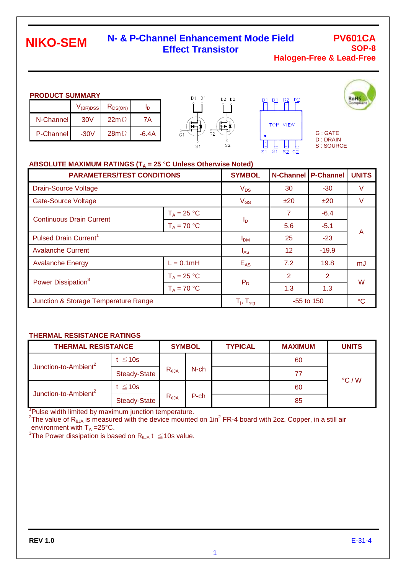# **NIKO-SEM**

## **N- & P-Channel Enhancement Mode Field Effect Transistor**

## **PV601CA SOP-8 Halogen-Free & Lead-Free**

G : GATE D : DRAIN S : SOURCE

### **PRODUCT SUMMARY**

|             | $V_{(BR)DSS}$ | $R_{DS(ON)}$ | In    |
|-------------|---------------|--------------|-------|
| N-Channel I | 30V           | $22m\Omega$  | 7A.   |
| P-Channel   | $-30V$        | $28m\Omega$  | -6.4A |







### ABSOLUTE MAXIMUM RATINGS (T<sub>A</sub> = 25 °C Unless Otherwise Noted)

| <b>PARAMETERS/TEST CONDITIONS</b>    | <b>SYMBOL</b>            | <b>N-Channel</b> | <b>P-Channel</b> | <b>UNITS</b>   |    |  |
|--------------------------------------|--------------------------|------------------|------------------|----------------|----|--|
| <b>Drain-Source Voltage</b>          | $V_{DS}$                 | 30               | $-30$            | V              |    |  |
| <b>Gate-Source Voltage</b>           | $V_{GS}$                 | ±20              | ±20              | V              |    |  |
| <b>Continuous Drain Current</b>      | $T_A = 25 °C$            |                  | 7                | $-6.4$         | A  |  |
|                                      | $T_A = 70 °C$            | $I_{\mathsf{D}}$ | 5.6              | $-5.1$         |    |  |
| Pulsed Drain Current <sup>1</sup>    | I <sub>DM</sub>          | 25               | $-23$            |                |    |  |
| <b>Avalanche Current</b>             | $I_{AS}$                 | $12 \,$          | $-19.9$          |                |    |  |
| <b>Avalanche Energy</b>              | $L = 0.1mH$              |                  | 7.2              | 19.8           | mJ |  |
| Power Dissipation <sup>3</sup>       | $T_A = 25 °C$            |                  | 2                | $\overline{2}$ | W  |  |
|                                      | $T_A = 70 °C$            | $P_D$            | 1.3              | 1.3            |    |  |
| Junction & Storage Temperature Range | $T_i$ , $T_{\text{stg}}$ |                  | $-55$ to 150     | $^{\circ}C$    |    |  |

### **THERMAL RESISTANCE RATINGS**

| <b>THERMAL RESISTANCE</b>        |                     | <b>SYMBOL</b>  |      | <b>TYPICAL</b> | <b>MAXIMUM</b> | <b>UNITS</b>    |
|----------------------------------|---------------------|----------------|------|----------------|----------------|-----------------|
| Junction-to-Ambient <sup>2</sup> | t $\leq 10$ s       |                |      |                | 60             |                 |
|                                  | <b>Steady-State</b> | $R_{\theta$ JA | N-ch |                | 77             | $\degree$ C / W |
| Junction-to-Ambient <sup>2</sup> | t $\leq 10$ s       |                |      |                | 60             |                 |
|                                  | <b>Steady-State</b> | $R_{\theta$ JA | P-ch |                | 85             |                 |

<sup>1</sup>Pulse width limited by maximum junction temperature.

<sup>2</sup>The value of R<sub>eJA</sub> is measured with the device mounted on 1in<sup>2</sup> FR-4 board with 2oz. Copper, in a still air environment with  $T_A = 25^{\circ}C$ .

 $^3$ The Power dissipation is based on R $_{\rm \theta JA}$  t  $~\leq$  10s value.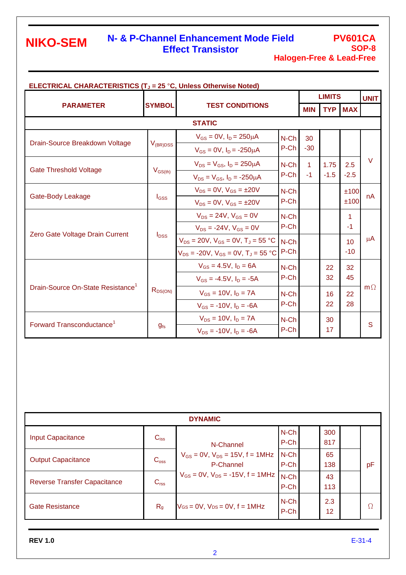# **NIKO-SEM**

# **N- & P-Channel Enhancement Mode Field Effect Transistor**

## **PV601CA SOP-8 Halogen-Free & Lead-Free**

| <b>ELECTRICAL CHARACTERISTICS (T<sub>J</sub> = 25 °C, Unless Otherwise Noted)</b> |               |                                                |                 |                      |            |            |             |
|-----------------------------------------------------------------------------------|---------------|------------------------------------------------|-----------------|----------------------|------------|------------|-------------|
|                                                                                   |               | <b>TEST CONDITIONS</b>                         |                 | <b>LIMITS</b>        |            |            | <b>UNIT</b> |
| <b>PARAMETER</b>                                                                  | <b>SYMBOL</b> |                                                |                 | <b>MIN</b>           | <b>TYP</b> | <b>MAX</b> |             |
| <b>STATIC</b>                                                                     |               |                                                |                 |                      |            |            |             |
|                                                                                   |               | $V_{GS} = 0V$ , $I_D = 250 \mu A$              | $N$ -Ch         | 30                   |            |            |             |
| Drain-Source Breakdown Voltage                                                    | $V_{(BR)DSS}$ | $V_{GS} = 0V$ , $I_D = -250 \mu A$             | P-Ch            | $-30$                |            |            |             |
|                                                                                   |               | $V_{DS} = V_{GS}$ , $I_D = 250 \mu A$          | $N$ -Ch         | $\blacktriangleleft$ | 1.75       | 2.5        | $\vee$      |
| <b>Gate Threshold Voltage</b>                                                     | $V_{GS(th)}$  | $V_{DS} = V_{GS}$ , $I_D = -250 \mu A$         | $P-Ch$          | $-1$                 | $-1.5$     | $-2.5$     |             |
| Gate-Body Leakage                                                                 |               | $V_{DS} = 0V$ , $V_{GS} = \pm 20V$             | $N$ -Ch         |                      |            | ±100       |             |
|                                                                                   | $I_{GSS}$     | $V_{DS} = 0V$ , $V_{GS} = \pm 20V$             | P-Ch            |                      |            | ±100       | nA          |
|                                                                                   |               | $V_{DS} = 24V$ , $V_{GS} = 0V$                 | $N$ -Ch         |                      |            | 1          |             |
|                                                                                   |               | $V_{DS}$ = -24V, $V_{GS}$ = 0V                 | P-Ch            |                      |            | $-1$       |             |
| Zero Gate Voltage Drain Current                                                   | $I_{DSS}$     | $V_{DS} = 20V$ , $V_{GS} = 0V$ , $T_J = 55 °C$ | $N$ -Ch<br>P-Ch |                      |            | 10         | $\mu$ A     |
|                                                                                   |               | $V_{DS}$ = -20V, $V_{GS}$ = 0V, $T_J$ = 55 °C  |                 |                      |            | $-10$      |             |
|                                                                                   |               | $V_{GS} = 4.5V$ , $I_D = 6A$                   | $N$ -Ch         |                      | 22         | 32         |             |
|                                                                                   |               | $V_{GS} = -4.5V$ , $I_D = -5A$                 | P-Ch            |                      | 32         | 45         |             |
| Drain-Source On-State Resistance <sup>1</sup>                                     | $R_{DS(ON)}$  | $V_{GS} = 10V, I_D = 7A$                       | $N$ -Ch         |                      | 16         | 22         | $m\Omega$   |
|                                                                                   |               | $V_{GS}$ = -10V, $I_D$ = -6A                   | P-Ch            |                      | 22         | 28         |             |
|                                                                                   |               | $V_{DS} = 10V, I_D = 7A$                       | $N$ -Ch         |                      | 30         |            |             |
| Forward Transconductance <sup>1</sup>                                             | $g_{fs}$      | $V_{DS}$ = -10V, $I_D$ = -6A                   | P-Ch            |                      | 17         |            | S           |

| <b>DYNAMIC</b>                      |                  |                                                          |                 |  |            |  |    |  |
|-------------------------------------|------------------|----------------------------------------------------------|-----------------|--|------------|--|----|--|
| <b>Input Capacitance</b>            | $C_{iss}$        | N-Channel                                                | N-Ch<br>P-Ch    |  | 300<br>817 |  |    |  |
| <b>Output Capacitance</b>           | $C_{\text{oss}}$ | $V_{GS} = 0V$ , $V_{DS} = 15V$ , $f = 1MHz$<br>P-Channel | $N$ -Ch<br>P-Ch |  | 65<br>138  |  | pF |  |
| <b>Reverse Transfer Capacitance</b> | C <sub>rss</sub> | $V_{GS} = 0V$ , $V_{DS} = -15V$ , $f = 1MHz$             | $N$ -Ch<br>P-Ch |  | 43<br>113  |  |    |  |
| <b>Gate Resistance</b>              | R <sub>g</sub>   | $V$ GS = $0V$ , $V_{DS} = 0V$ , $f = 1MHz$               | N-Ch<br>P-Ch    |  | 2.3<br>12  |  | Ω  |  |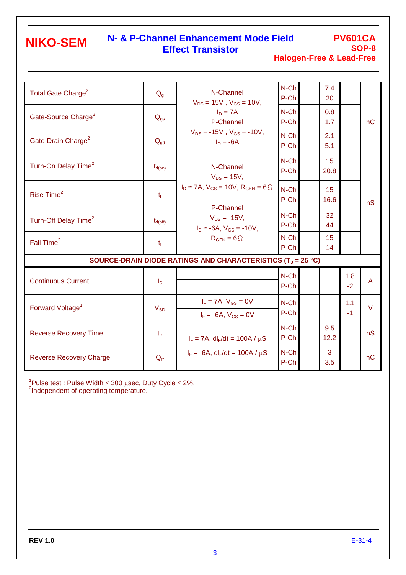# **NIKO-SEM**

# **N- & P-Channel Enhancement Mode Field Effect Transistor**

**PV601CA SOP-8 Halogen-Free & Lead-Free**

| Total Gate Charge <sup>2</sup>   | $Q_{q}$                 | N-Channel<br>$V_{DS} = 15V$ , $V_{GS} = 10V$ ,<br>$I_D = 7A$<br>P-Channel<br>$V_{DS} = -15V$ , $V_{GS} = -10V$ ,<br>$I_D = -6A$<br>N-Channel<br>$V_{DS} = 15V,$<br>$I_D \cong 7A$ , $V_{GS} = 10V$ , $R_{GEN} = 6\Omega$<br>P-Channel<br>$V_{DS} = -15V,$<br>$I_D \approx -6A$ , $V_{GS} = -10V$ ,<br>$R_{GEN} = 6\Omega$ | $N$ -Ch<br>P-Ch | 7.4<br>20   |             | nC             |
|----------------------------------|-------------------------|---------------------------------------------------------------------------------------------------------------------------------------------------------------------------------------------------------------------------------------------------------------------------------------------------------------------------|-----------------|-------------|-------------|----------------|
| Gate-Source Charge <sup>2</sup>  | $Q_{gs}$                |                                                                                                                                                                                                                                                                                                                           | N-Ch<br>P-Ch    | 0.8<br>1.7  |             |                |
| Gate-Drain Charge <sup>2</sup>   | $Q_{gd}$                |                                                                                                                                                                                                                                                                                                                           | $N$ -Ch<br>P-Ch | 2.1<br>5.1  |             |                |
| Turn-On Delay Time <sup>2</sup>  | $t_{d(on)}$             |                                                                                                                                                                                                                                                                                                                           | $N$ -Ch<br>P-Ch | 15<br>20.8  |             |                |
| Rise Time <sup>2</sup>           | $t_{\rm r}$             |                                                                                                                                                                                                                                                                                                                           | $N$ -Ch<br>P-Ch | 15<br>16.6  |             | nS             |
| Turn-Off Delay Time <sup>2</sup> | $t_{d(\text{off})}$     |                                                                                                                                                                                                                                                                                                                           | $N$ -Ch<br>P-Ch | 32<br>44    |             |                |
| Fall Time <sup>2</sup>           | $t_{\rm f}$             |                                                                                                                                                                                                                                                                                                                           | N-Ch<br>P-Ch    | 15<br>14    |             |                |
|                                  |                         | SOURCE-DRAIN DIODE RATINGS AND CHARACTERISTICS (T <sub>J</sub> = 25 °C)                                                                                                                                                                                                                                                   |                 |             |             |                |
| <b>Continuous Current</b>        | $\mathsf{I}_\mathsf{S}$ |                                                                                                                                                                                                                                                                                                                           | $N$ -Ch<br>P-Ch |             | 1.8<br>$-2$ | $\overline{A}$ |
| Forward Voltage <sup>1</sup>     | $V_{SD}$                | $I_F = 7A$ , $V_{GS} = 0V$<br>$I_F = -6A, V_{GS} = 0V$                                                                                                                                                                                                                                                                    | N-Ch<br>P-Ch    |             | 1.1<br>$-1$ | $\vee$         |
| <b>Reverse Recovery Time</b>     | $t_{rr}$                | $I_F = 7A$ , dl <sub>F</sub> /dt = 100A / $\mu$ S                                                                                                                                                                                                                                                                         | $N$ -Ch<br>P-Ch | 9.5<br>12.2 |             | nS             |
| <b>Reverse Recovery Charge</b>   | $Q_{rr}$                | $I_F = -6A$ , dl <sub>F</sub> /dt = 100A / $\mu$ S                                                                                                                                                                                                                                                                        | $N$ -Ch<br>P-Ch | 3<br>3.5    |             | nC             |

 $^1$ Pulse test : Pulse Width ≤ 300 µsec, Duty Cycle ≤ 2%.<br><sup>2</sup>Independent of operating temperature.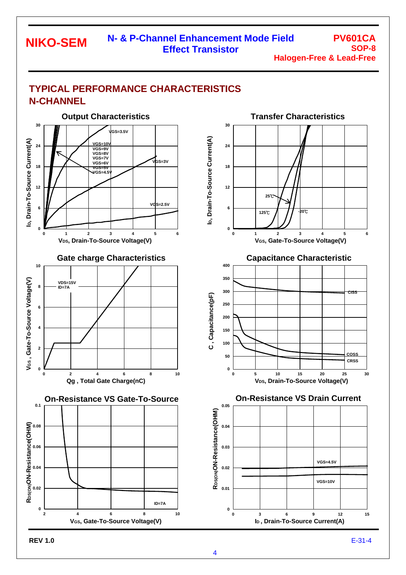### **N- & P-Channel Enhancement Mode Field Effect Transistor NIKO-SEM**

**PV601CA SOP-8 Halogen-Free & Lead-Free**

## **TYPICAL PERFORMANCE CHARACTERISTICS N-CHANNEL**

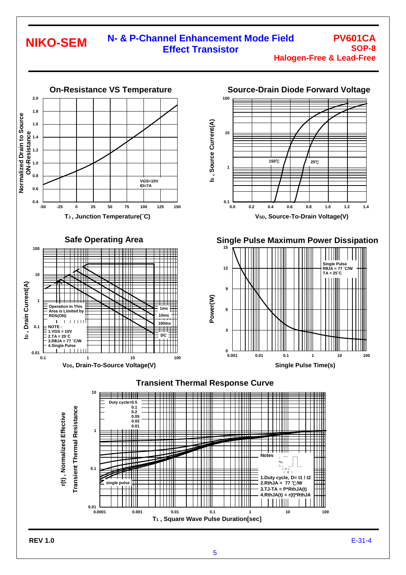#### **N- & P-Channel Enhancement Mode Field Effect Transistor PV601CA SOP-8 NIKO-SEM**

**Halogen-Free & Lead-Free**

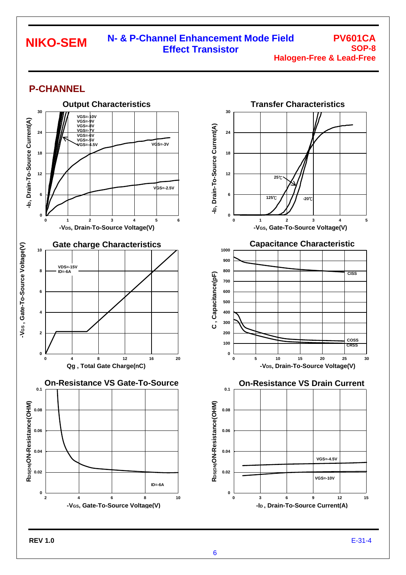#### **N- & P-Channel Enhancement Mode Field Effect Transistor NIKO-SEM**

**PV601CA SOP-8 Halogen-Free & Lead-Free**

## **P-CHANNEL**